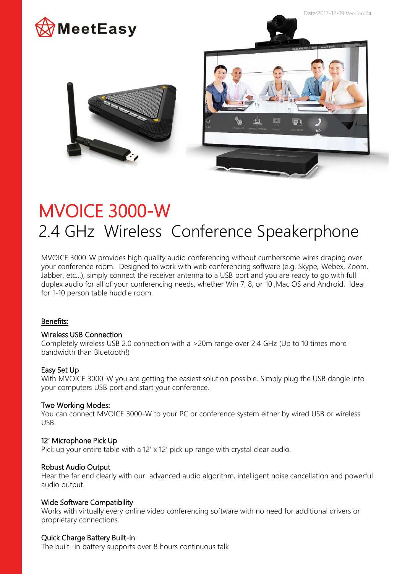



# MVOICE 3000-W 2.4 GHz Wireless Conference Speakerphone

MVOICE 3000-W provides high quality audio conferencing without cumbersome wires draping over your conference room. Designed to work with web conferencing software (e.g. Skype, Webex, Zoom, Jabber, etc…), simply connect the receiver antenna to a USB port and you are ready to go with full duplex audio for all of your conferencing needs, whether Win 7, 8, or 10 ,Mac OS and Android. Ideal for 1-10 person table huddle room.

## Benefits:

### Wireless USB Connection

Completely wireless USB 2.0 connection with a >20m range over 2.4 GHz (Up to 10 times more bandwidth than Bluetooth!)

## Easy Set Up

With MVOICE 3000-W you are getting the easiest solution possible. Simply plug the USB dangle into your computers USB port and start your conference.

#### Two Working Modes:

You can connect MVOICE 3000-W to your PC or conference system either by wired USB or wireless USB.

## 12′ Microphone Pick Up

Pick up your entire table with a 12' x 12' pick up range with crystal clear audio.

#### Robust Audio Output

Hear the far end clearly with our advanced audio algorithm, intelligent noise cancellation and powerful audio output.

#### Wide Software Compatibility

Works with virtually every online video conferencing software with no need for additional drivers or proprietary connections.

#### Quick Charge Battery Built-in

The built -in battery supports over 8 hours continuous talk